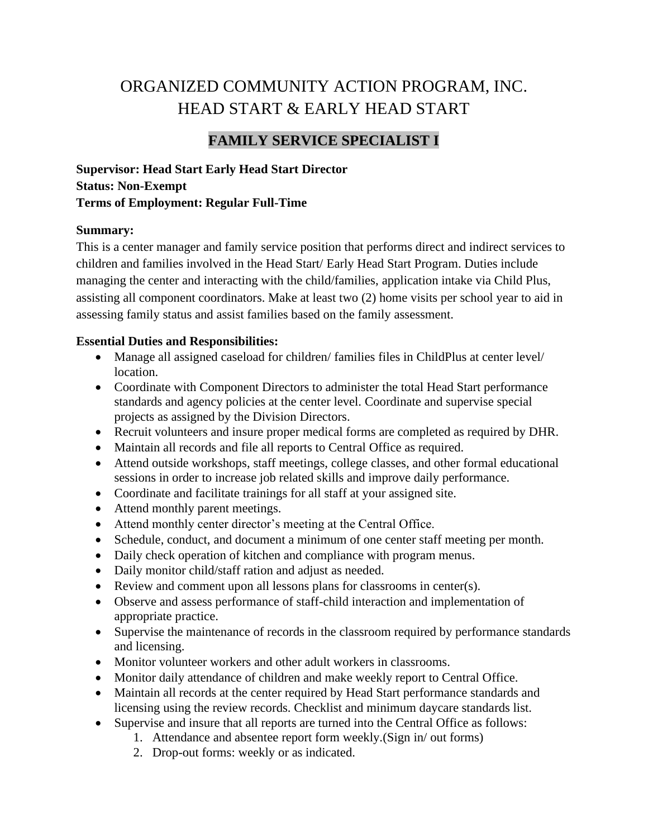# ORGANIZED COMMUNITY ACTION PROGRAM, INC. HEAD START & EARLY HEAD START

# **FAMILY SERVICE SPECIALIST I**

**Supervisor: Head Start Early Head Start Director Status: Non-Exempt Terms of Employment: Regular Full-Time**

#### **Summary:**

This is a center manager and family service position that performs direct and indirect services to children and families involved in the Head Start/ Early Head Start Program. Duties include managing the center and interacting with the child/families, application intake via Child Plus, assisting all component coordinators. Make at least two (2) home visits per school year to aid in assessing family status and assist families based on the family assessment.

#### **Essential Duties and Responsibilities:**

- Manage all assigned caseload for children/ families files in ChildPlus at center level/ location.
- Coordinate with Component Directors to administer the total Head Start performance standards and agency policies at the center level. Coordinate and supervise special projects as assigned by the Division Directors.
- Recruit volunteers and insure proper medical forms are completed as required by DHR.
- Maintain all records and file all reports to Central Office as required.
- Attend outside workshops, staff meetings, college classes, and other formal educational sessions in order to increase job related skills and improve daily performance.
- Coordinate and facilitate trainings for all staff at your assigned site.
- Attend monthly parent meetings.
- Attend monthly center director's meeting at the Central Office.
- Schedule, conduct, and document a minimum of one center staff meeting per month.
- Daily check operation of kitchen and compliance with program menus.
- Daily monitor child/staff ration and adjust as needed.
- Review and comment upon all lessons plans for classrooms in center(s).
- Observe and assess performance of staff-child interaction and implementation of appropriate practice.
- Supervise the maintenance of records in the classroom required by performance standards and licensing.
- Monitor volunteer workers and other adult workers in classrooms.
- Monitor daily attendance of children and make weekly report to Central Office.
- Maintain all records at the center required by Head Start performance standards and licensing using the review records. Checklist and minimum daycare standards list.
- Supervise and insure that all reports are turned into the Central Office as follows:
	- 1. Attendance and absentee report form weekly.(Sign in/ out forms)
	- 2. Drop-out forms: weekly or as indicated.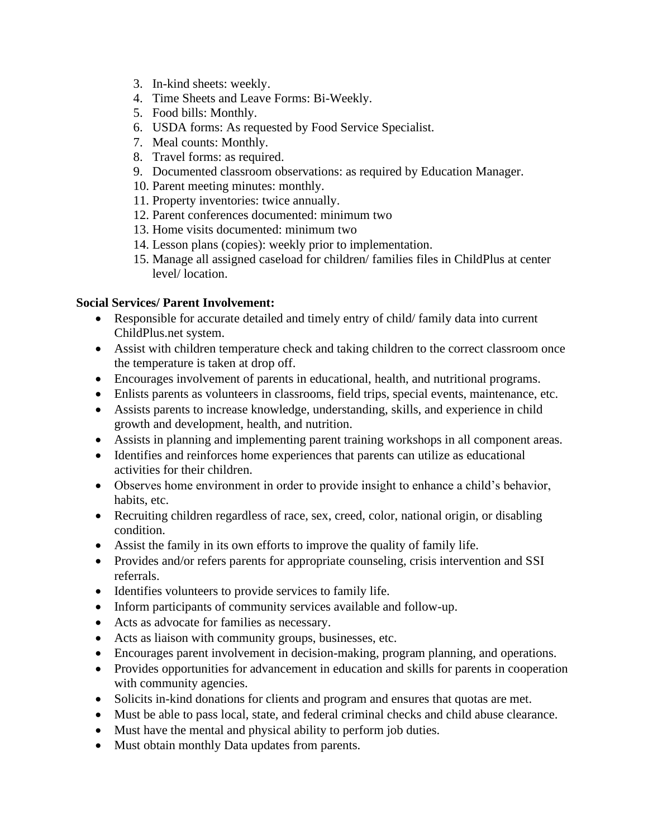- 3. In-kind sheets: weekly.
- 4. Time Sheets and Leave Forms: Bi-Weekly.
- 5. Food bills: Monthly.
- 6. USDA forms: As requested by Food Service Specialist.
- 7. Meal counts: Monthly.
- 8. Travel forms: as required.
- 9. Documented classroom observations: as required by Education Manager.
- 10. Parent meeting minutes: monthly.
- 11. Property inventories: twice annually.
- 12. Parent conferences documented: minimum two
- 13. Home visits documented: minimum two
- 14. Lesson plans (copies): weekly prior to implementation.
- 15. Manage all assigned caseload for children/ families files in ChildPlus at center level/ location.

# **Social Services/ Parent Involvement:**

- Responsible for accurate detailed and timely entry of child/ family data into current ChildPlus.net system.
- Assist with children temperature check and taking children to the correct classroom once the temperature is taken at drop off.
- Encourages involvement of parents in educational, health, and nutritional programs.
- Enlists parents as volunteers in classrooms, field trips, special events, maintenance, etc.
- Assists parents to increase knowledge, understanding, skills, and experience in child growth and development, health, and nutrition.
- Assists in planning and implementing parent training workshops in all component areas.
- Identifies and reinforces home experiences that parents can utilize as educational activities for their children.
- Observes home environment in order to provide insight to enhance a child's behavior, habits, etc.
- Recruiting children regardless of race, sex, creed, color, national origin, or disabling condition.
- Assist the family in its own efforts to improve the quality of family life.
- Provides and/or refers parents for appropriate counseling, crisis intervention and SSI referrals.
- Identifies volunteers to provide services to family life.
- Inform participants of community services available and follow-up.
- Acts as advocate for families as necessary.
- Acts as liaison with community groups, businesses, etc.
- Encourages parent involvement in decision-making, program planning, and operations.
- Provides opportunities for advancement in education and skills for parents in cooperation with community agencies.
- Solicits in-kind donations for clients and program and ensures that quotas are met.
- Must be able to pass local, state, and federal criminal checks and child abuse clearance.
- Must have the mental and physical ability to perform job duties.
- Must obtain monthly Data updates from parents.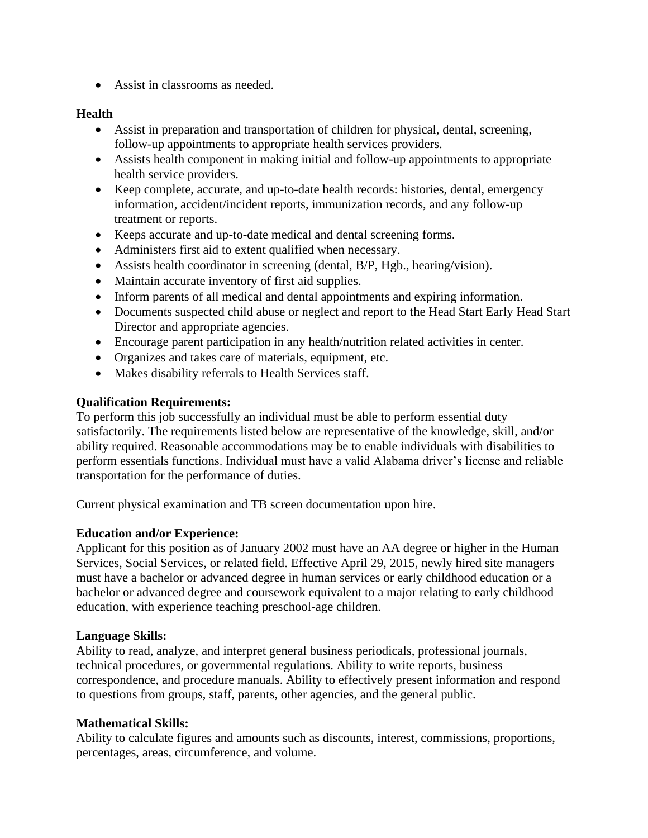• Assist in classrooms as needed.

# **Health**

- Assist in preparation and transportation of children for physical, dental, screening, follow-up appointments to appropriate health services providers.
- Assists health component in making initial and follow-up appointments to appropriate health service providers.
- Keep complete, accurate, and up-to-date health records: histories, dental, emergency information, accident/incident reports, immunization records, and any follow-up treatment or reports.
- Keeps accurate and up-to-date medical and dental screening forms.
- Administers first aid to extent qualified when necessary.
- Assists health coordinator in screening (dental, B/P, Hgb., hearing/vision).
- Maintain accurate inventory of first aid supplies.
- Inform parents of all medical and dental appointments and expiring information.
- Documents suspected child abuse or neglect and report to the Head Start Early Head Start Director and appropriate agencies.
- Encourage parent participation in any health/nutrition related activities in center.
- Organizes and takes care of materials, equipment, etc.
- Makes disability referrals to Health Services staff.

# **Qualification Requirements:**

To perform this job successfully an individual must be able to perform essential duty satisfactorily. The requirements listed below are representative of the knowledge, skill, and/or ability required. Reasonable accommodations may be to enable individuals with disabilities to perform essentials functions. Individual must have a valid Alabama driver's license and reliable transportation for the performance of duties.

Current physical examination and TB screen documentation upon hire.

# **Education and/or Experience:**

Applicant for this position as of January 2002 must have an AA degree or higher in the Human Services, Social Services, or related field. Effective April 29, 2015, newly hired site managers must have a bachelor or advanced degree in human services or early childhood education or a bachelor or advanced degree and coursework equivalent to a major relating to early childhood education, with experience teaching preschool-age children.

#### **Language Skills:**

Ability to read, analyze, and interpret general business periodicals, professional journals, technical procedures, or governmental regulations. Ability to write reports, business correspondence, and procedure manuals. Ability to effectively present information and respond to questions from groups, staff, parents, other agencies, and the general public.

#### **Mathematical Skills:**

Ability to calculate figures and amounts such as discounts, interest, commissions, proportions, percentages, areas, circumference, and volume.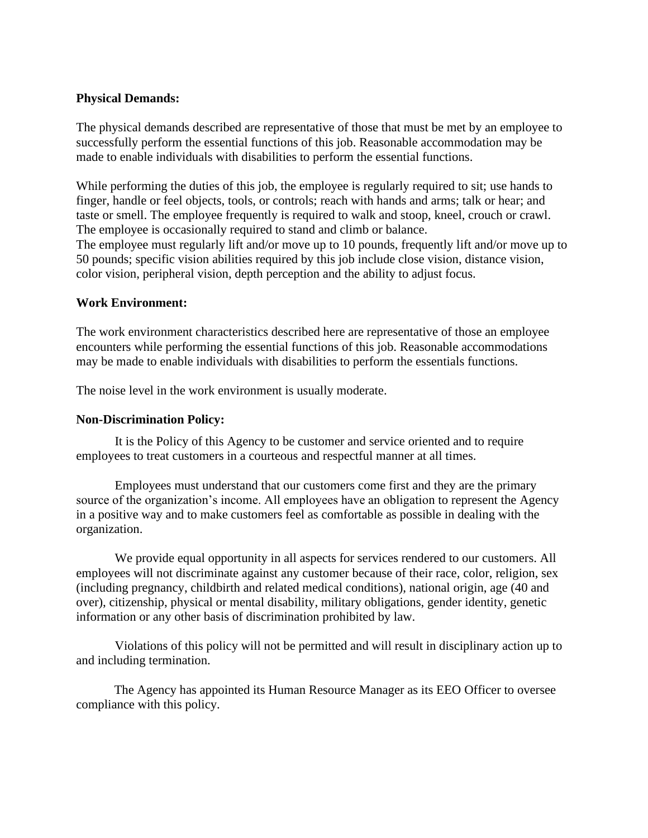#### **Physical Demands:**

The physical demands described are representative of those that must be met by an employee to successfully perform the essential functions of this job. Reasonable accommodation may be made to enable individuals with disabilities to perform the essential functions.

While performing the duties of this job, the employee is regularly required to sit; use hands to finger, handle or feel objects, tools, or controls; reach with hands and arms; talk or hear; and taste or smell. The employee frequently is required to walk and stoop, kneel, crouch or crawl. The employee is occasionally required to stand and climb or balance.

The employee must regularly lift and/or move up to 10 pounds, frequently lift and/or move up to 50 pounds; specific vision abilities required by this job include close vision, distance vision, color vision, peripheral vision, depth perception and the ability to adjust focus.

#### **Work Environment:**

The work environment characteristics described here are representative of those an employee encounters while performing the essential functions of this job. Reasonable accommodations may be made to enable individuals with disabilities to perform the essentials functions.

The noise level in the work environment is usually moderate.

#### **Non-Discrimination Policy:**

It is the Policy of this Agency to be customer and service oriented and to require employees to treat customers in a courteous and respectful manner at all times.

Employees must understand that our customers come first and they are the primary source of the organization's income. All employees have an obligation to represent the Agency in a positive way and to make customers feel as comfortable as possible in dealing with the organization.

We provide equal opportunity in all aspects for services rendered to our customers. All employees will not discriminate against any customer because of their race, color, religion, sex (including pregnancy, childbirth and related medical conditions), national origin, age (40 and over), citizenship, physical or mental disability, military obligations, gender identity, genetic information or any other basis of discrimination prohibited by law.

Violations of this policy will not be permitted and will result in disciplinary action up to and including termination.

The Agency has appointed its Human Resource Manager as its EEO Officer to oversee compliance with this policy.